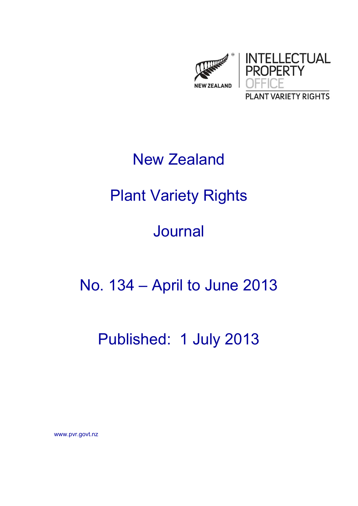

## New Zealand

# Plant Variety Rights

# Journal

### No. 134 – April to June 2013

### Published: 1 July 2013

www.pvr.govt.nz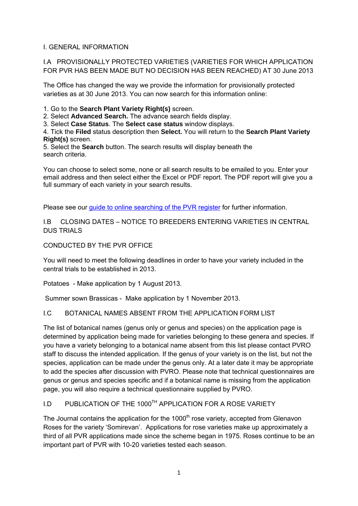### I. GENERAL INFORMATION

I.A PROVISIONALLY PROTECTED VARIETIES (VARIETIES FOR WHICH APPLICATION FOR PVR HAS BEEN MADE BUT NO DECISION HAS BEEN REACHED) AT 30 June 2013

The Office has changed the way we provide the information for provisionally protected varieties as at 30 June 2013. You can now search for this information online:

1. Go to the **Search Plant Variety Right(s)** screen.

2. Select **Advanced Search.** The advance search fields display.

3. Select **Case Status**. The **Select case status** window displays.

4. Tick the **Filed** status description then **Select.** You will return to the **Search Plant Variety Right(s)** screen.

5. Select the **Search** button. The search results will display beneath the search criteria.

You can choose to select some, none or all search results to be emailed to you. Enter your email address and then select either the Excel or PDF report. The PDF report will give you a full summary of each variety in your search results.

Please see our [guide to online searching of the PVR register](http://www.iponz.govt.nz/cms/pvr/how-to-check-for-existing-plant-variety-rights/guide-to-online-searching-of-the-pvr-register) for further information.

I.B CLOSING DATES – NOTICE TO BREEDERS ENTERING VARIETIES IN CENTRAL DUS TRIALS

### CONDUCTED BY THE PVR OFFICE

You will need to meet the following deadlines in order to have your variety included in the central trials to be established in 2013.

Potatoes - Make application by 1 August 2013.

Summer sown Brassicas - Make application by 1 November 2013.

### I.C BOTANICAL NAMES ABSENT FROM THE APPLICATION FORM LIST

The list of botanical names (genus only or genus and species) on the application page is determined by application being made for varieties belonging to these genera and species. If you have a variety belonging to a botanical name absent from this list please contact PVRO staff to discuss the intended application. If the genus of your variety is on the list, but not the species, application can be made under the genus only. At a later date it may be appropriate to add the species after discussion with PVRO. Please note that technical questionnaires are genus or genus and species specific and if a botanical name is missing from the application page, you will also require a technical questionnaire supplied by PVRO.

### I.D PUBLICATION OF THE 1000<sup>TH</sup> APPLICATION FOR A ROSE VARIETY

The Journal contains the application for the  $1000<sup>th</sup>$  rose variety, accepted from Glenavon Roses for the variety 'Somirevan'. Applications for rose varieties make up approximately a third of all PVR applications made since the scheme began in 1975. Roses continue to be an important part of PVR with 10-20 varieties tested each season.